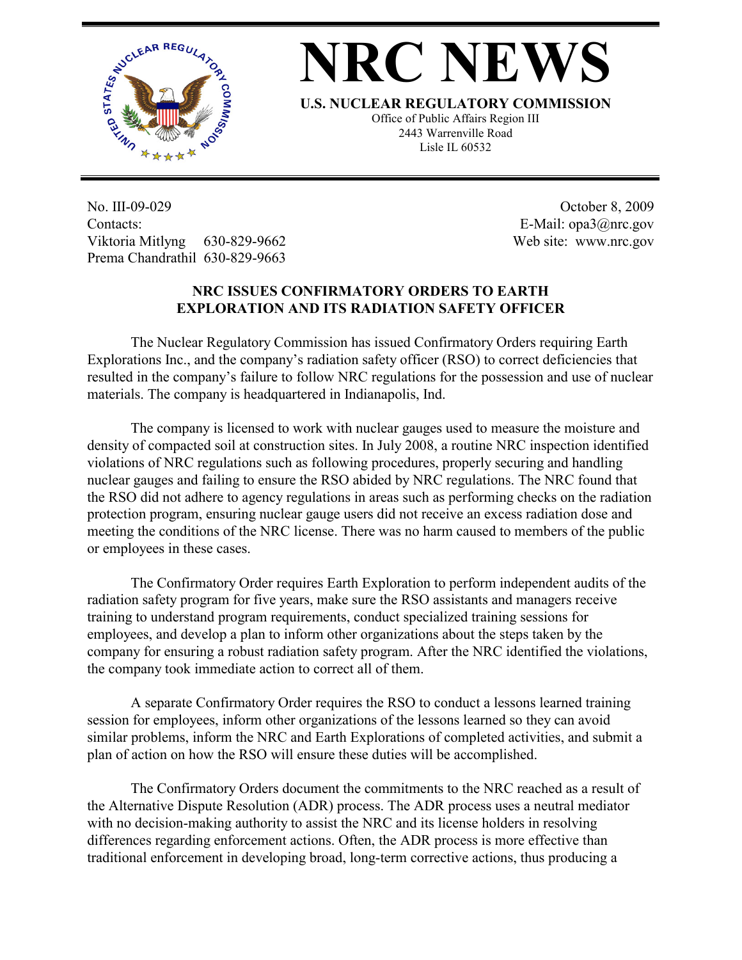

## **NRC NEWS**

**U.S. NUCLEAR REGULATORY COMMISSION**

Office of Public Affairs Region III 2443 Warrenville Road Lisle IL 60532

No. III-09-029 Contacts: Viktoria Mitlyng 630-829-9662 Prema Chandrathil 630-829-9663

 October 8, 2009 E-Mail: opa3@nrc.gov Web site: www.nrc.gov

## **NRC ISSUES CONFIRMATORY ORDERS TO EARTH EXPLORATION AND ITS RADIATION SAFETY OFFICER**

 The Nuclear Regulatory Commission has issued Confirmatory Orders requiring Earth Explorations Inc., and the company's radiation safety officer (RSO) to correct deficiencies that resulted in the company's failure to follow NRC regulations for the possession and use of nuclear materials. The company is headquartered in Indianapolis, Ind.

 The company is licensed to work with nuclear gauges used to measure the moisture and density of compacted soil at construction sites. In July 2008, a routine NRC inspection identified violations of NRC regulations such as following procedures, properly securing and handling nuclear gauges and failing to ensure the RSO abided by NRC regulations. The NRC found that the RSO did not adhere to agency regulations in areas such as performing checks on the radiation protection program, ensuring nuclear gauge users did not receive an excess radiation dose and meeting the conditions of the NRC license. There was no harm caused to members of the public or employees in these cases.

 The Confirmatory Order requires Earth Exploration to perform independent audits of the radiation safety program for five years, make sure the RSO assistants and managers receive training to understand program requirements, conduct specialized training sessions for employees, and develop a plan to inform other organizations about the steps taken by the company for ensuring a robust radiation safety program. After the NRC identified the violations, the company took immediate action to correct all of them.

 A separate Confirmatory Order requires the RSO to conduct a lessons learned training session for employees, inform other organizations of the lessons learned so they can avoid similar problems, inform the NRC and Earth Explorations of completed activities, and submit a plan of action on how the RSO will ensure these duties will be accomplished.

 The Confirmatory Orders document the commitments to the NRC reached as a result of the Alternative Dispute Resolution (ADR) process. The ADR process uses a neutral mediator with no decision-making authority to assist the NRC and its license holders in resolving differences regarding enforcement actions. Often, the ADR process is more effective than traditional enforcement in developing broad, long-term corrective actions, thus producing a